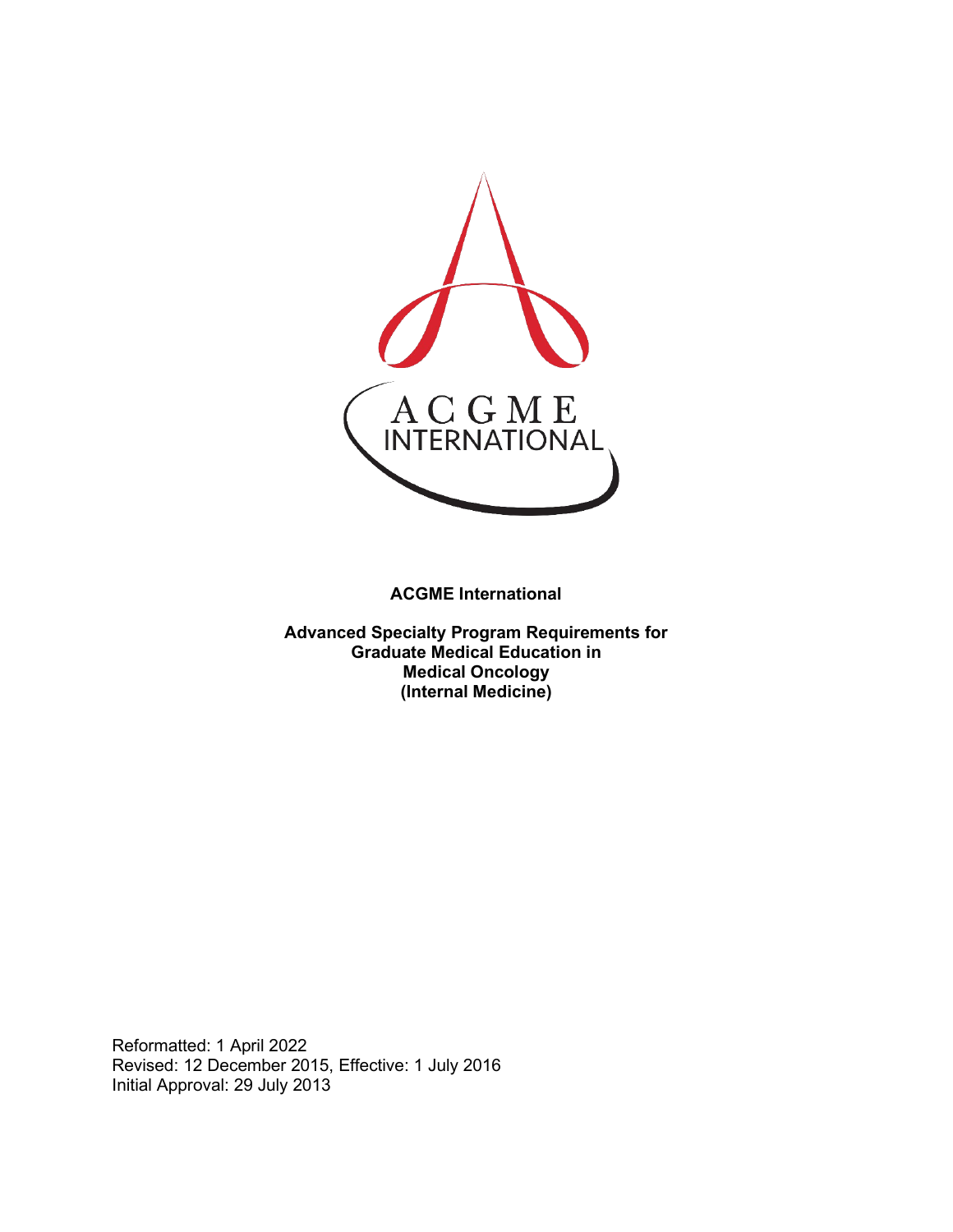

**ACGME International** 

**Advanced Specialty Program Requirements for Graduate Medical Education in Medical Oncology (Internal Medicine)**

Reformatted: 1 April 2022 Revised: 12 December 2015, Effective: 1 July 2016 Initial Approval: 29 July 2013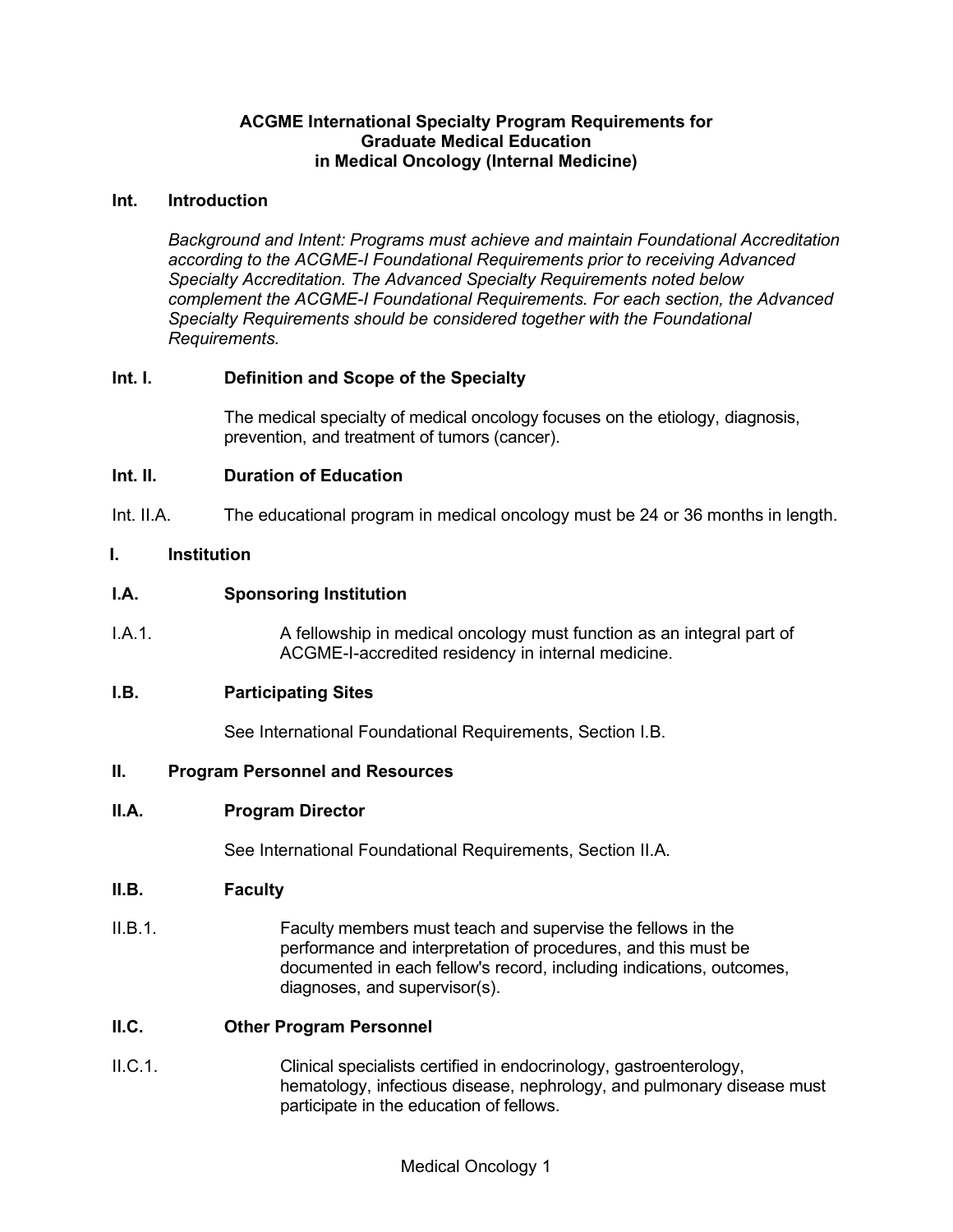### **ACGME International Specialty Program Requirements for Graduate Medical Education in Medical Oncology (Internal Medicine)**

### **Int. Introduction**

*Background and Intent: Programs must achieve and maintain Foundational Accreditation according to the ACGME-I Foundational Requirements prior to receiving Advanced Specialty Accreditation. The Advanced Specialty Requirements noted below complement the ACGME-I Foundational Requirements. For each section, the Advanced Specialty Requirements should be considered together with the Foundational Requirements.*

## **Int. I. Definition and Scope of the Specialty**

The medical specialty of medical oncology focuses on the etiology, diagnosis, prevention, and treatment of tumors (cancer).

### **Int. II. Duration of Education**

Int. II.A. The educational program in medical oncology must be 24 or 36 months in length.

### **I. Institution**

### **I.A. Sponsoring Institution**

I.A.1. A fellowship in medical oncology must function as an integral part of ACGME-I-accredited residency in internal medicine.

# **I.B. Participating Sites**

See International Foundational Requirements, Section I.B.

### **II. Program Personnel and Resources**

#### **II.A. Program Director**

See International Foundational Requirements, Section II.A.

#### **II.B. Faculty**

II.B.1. Faculty members must teach and supervise the fellows in the performance and interpretation of procedures, and this must be documented in each fellow's record, including indications, outcomes, diagnoses, and supervisor(s).

# **II.C. Other Program Personnel**

II.C.1. Clinical specialists certified in endocrinology, gastroenterology, hematology, infectious disease, nephrology, and pulmonary disease must participate in the education of fellows.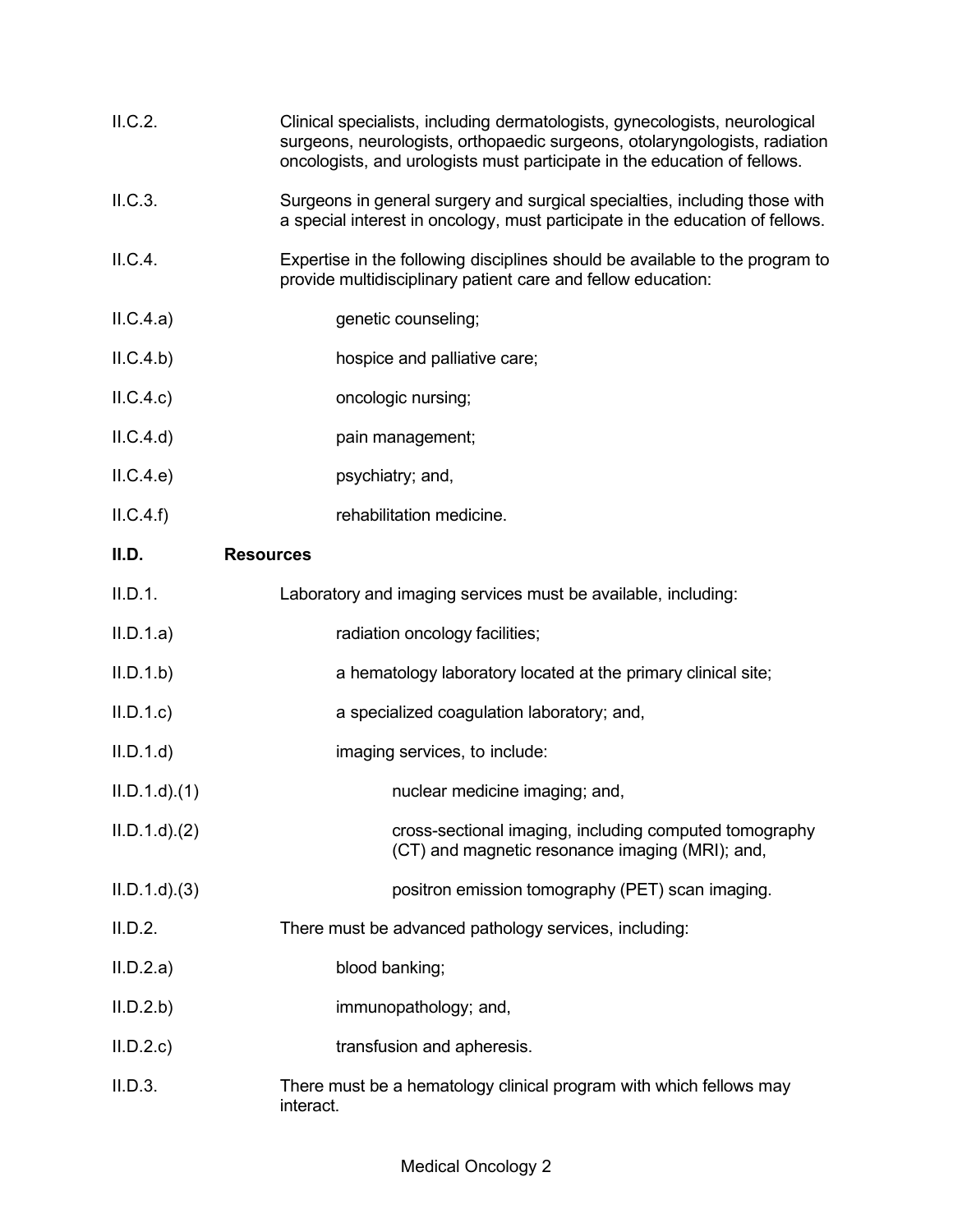| II.C.2.         | Clinical specialists, including dermatologists, gynecologists, neurological<br>surgeons, neurologists, orthopaedic surgeons, otolaryngologists, radiation<br>oncologists, and urologists must participate in the education of fellows. |
|-----------------|----------------------------------------------------------------------------------------------------------------------------------------------------------------------------------------------------------------------------------------|
| II.C.3.         | Surgeons in general surgery and surgical specialties, including those with<br>a special interest in oncology, must participate in the education of fellows.                                                                            |
| II.C.4.         | Expertise in the following disciplines should be available to the program to<br>provide multidisciplinary patient care and fellow education:                                                                                           |
| ILC.4.a)        | genetic counseling;                                                                                                                                                                                                                    |
| ILC.4.b)        | hospice and palliative care;                                                                                                                                                                                                           |
| ILC.4.c)        | oncologic nursing;                                                                                                                                                                                                                     |
| ILC.4.d)        | pain management;                                                                                                                                                                                                                       |
| ILC.4.e)        | psychiatry; and,                                                                                                                                                                                                                       |
| ILC.4.f)        | rehabilitation medicine.                                                                                                                                                                                                               |
| II.D.           | <b>Resources</b>                                                                                                                                                                                                                       |
| II.D.1.         | Laboratory and imaging services must be available, including:                                                                                                                                                                          |
| II.D.1.a)       | radiation oncology facilities;                                                                                                                                                                                                         |
| II.D.1.b        | a hematology laboratory located at the primary clinical site;                                                                                                                                                                          |
| II.D.1.c        | a specialized coagulation laboratory; and,                                                                                                                                                                                             |
| II.D.1.d        | imaging services, to include:                                                                                                                                                                                                          |
| $ILD.1.d$ $(1)$ | nuclear medicine imaging; and,                                                                                                                                                                                                         |
| $ILD.1.d$ $(2)$ | cross-sectional imaging, including computed tomography<br>(CT) and magnetic resonance imaging (MRI); and,                                                                                                                              |
| $ILD.1.d$ $(3)$ | positron emission tomography (PET) scan imaging.                                                                                                                                                                                       |
| II.D.2.         | There must be advanced pathology services, including:                                                                                                                                                                                  |
| II.D.2.a)       | blood banking;                                                                                                                                                                                                                         |
| II.D.2.b        | immunopathology; and,                                                                                                                                                                                                                  |
| II.D.2.c        | transfusion and apheresis.                                                                                                                                                                                                             |
| II.D.3.         | There must be a hematology clinical program with which fellows may<br>interact.                                                                                                                                                        |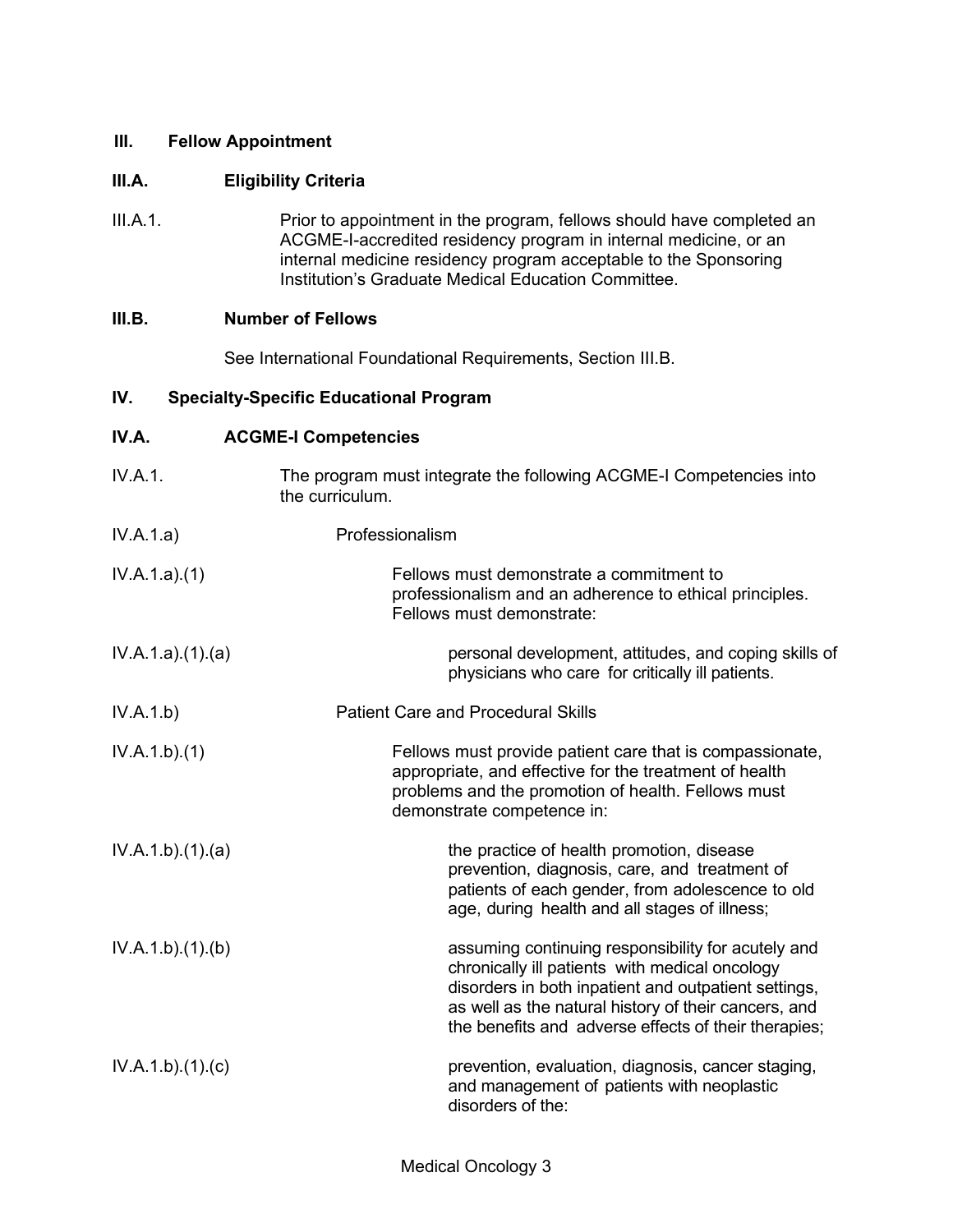### **III. Fellow Appointment**

# **III.A. Eligibility Criteria**

III.A.1. Prior to appointment in the program, fellows should have completed an ACGME-I-accredited residency program in internal medicine, or an internal medicine residency program acceptable to the Sponsoring Institution's Graduate Medical Education Committee.

#### **III.B. Number of Fellows**

See International Foundational Requirements, Section III.B.

### **IV. Specialty-Specific Educational Program**

| IV.A.           | <b>ACGME-I Competencies</b>                                                                                                                                                                                                                                                  |
|-----------------|------------------------------------------------------------------------------------------------------------------------------------------------------------------------------------------------------------------------------------------------------------------------------|
| IV.A.1.         | The program must integrate the following ACGME-I Competencies into<br>the curriculum.                                                                                                                                                                                        |
| IV.A.1.a)       | Professionalism                                                                                                                                                                                                                                                              |
| IV.A.1.a)(1)    | Fellows must demonstrate a commitment to<br>professionalism and an adherence to ethical principles.<br>Fellows must demonstrate:                                                                                                                                             |
| IV.A.1.a)(1)(a) | personal development, attitudes, and coping skills of<br>physicians who care for critically ill patients.                                                                                                                                                                    |
| IV.A.1.b)       | <b>Patient Care and Procedural Skills</b>                                                                                                                                                                                                                                    |
| IV.A.1.b)(1)    | Fellows must provide patient care that is compassionate,<br>appropriate, and effective for the treatment of health<br>problems and the promotion of health. Fellows must<br>demonstrate competence in:                                                                       |
| IV.A.1.b)(1)(a) | the practice of health promotion, disease<br>prevention, diagnosis, care, and treatment of<br>patients of each gender, from adolescence to old<br>age, during health and all stages of illness;                                                                              |
| IV.A.1.b)(1)(b) | assuming continuing responsibility for acutely and<br>chronically ill patients with medical oncology<br>disorders in both inpatient and outpatient settings,<br>as well as the natural history of their cancers, and<br>the benefits and adverse effects of their therapies; |
| IV.A.1.b)(1)(c) | prevention, evaluation, diagnosis, cancer staging,<br>and management of patients with neoplastic<br>disorders of the:                                                                                                                                                        |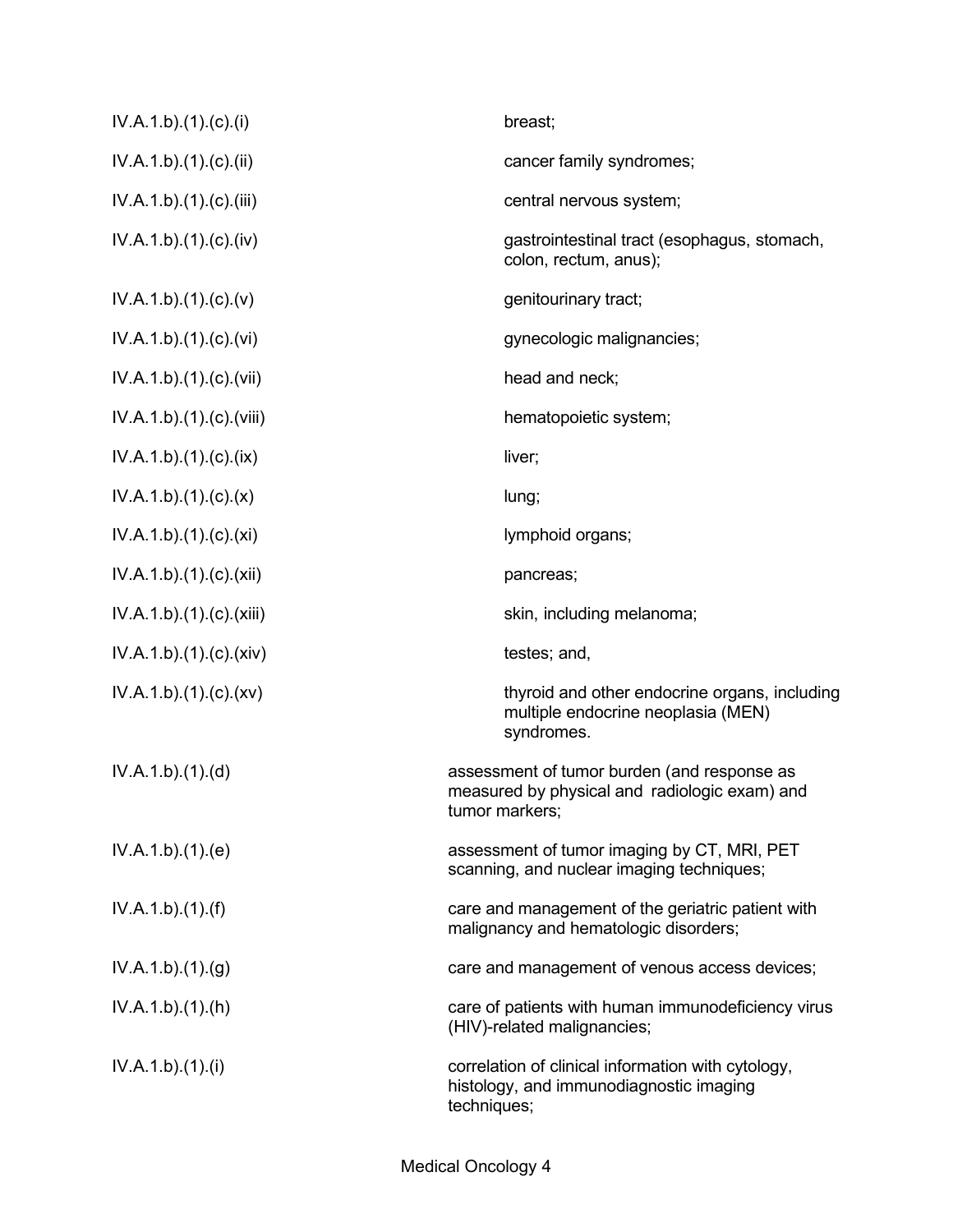| IV.A.1.b)(1).(c)(i)      | breast;                                                                                                        |
|--------------------------|----------------------------------------------------------------------------------------------------------------|
| IV.A.1.b)(1)(c)(ii)      | cancer family syndromes;                                                                                       |
| IV.A.1.b)(1)(c)(iii)     | central nervous system;                                                                                        |
| IV.A.1.b)(1)(c)(iv)      | gastrointestinal tract (esophagus, stomach,<br>colon, rectum, anus);                                           |
| IV.A.1.b)(1)(c)(v)       | genitourinary tract;                                                                                           |
| IV.A.1.b)(1)(c)(vi)      | gynecologic malignancies;                                                                                      |
| IV.A.1.b).(1).(c).(vii)  | head and neck;                                                                                                 |
| IV.A.1.b).(1).(c).(viii) | hematopoietic system;                                                                                          |
| IV.A.1.b)(1)(c)(ix)      | liver;                                                                                                         |
| IV.A.1.b)(1)(c)(x)       | lung;                                                                                                          |
| IV.A.1.b)(1)(c)(xi)      | lymphoid organs;                                                                                               |
| IV.A.1.b).(1).(c).(xii)  | pancreas;                                                                                                      |
| IV.A.1.b).(1).(c).(xiii) | skin, including melanoma;                                                                                      |
| IV.A.1.b)(1)(c)(xiv)     | testes; and,                                                                                                   |
| IV.A.1.b)(1)(c)(xv)      | thyroid and other endocrine organs, including<br>multiple endocrine neoplasia (MEN)<br>syndromes.              |
| IV.A.1.b)(1)(d)          | assessment of tumor burden (and response as<br>measured by physical and radiologic exam) and<br>tumor markers; |
| IV.A.1.b)(1)(e)          | assessment of tumor imaging by CT, MRI, PET<br>scanning, and nuclear imaging techniques;                       |
| IV.A.1.b)(1)(f)          | care and management of the geriatric patient with<br>malignancy and hematologic disorders;                     |
| IV.A.1.b)(1)(g)          | care and management of venous access devices;                                                                  |
| IV.A.1.b)(1)(h)          | care of patients with human immunodeficiency virus<br>(HIV)-related malignancies;                              |
| IV.A.1.b)(1)(i)          | correlation of clinical information with cytology,<br>histology, and immunodiagnostic imaging<br>techniques;   |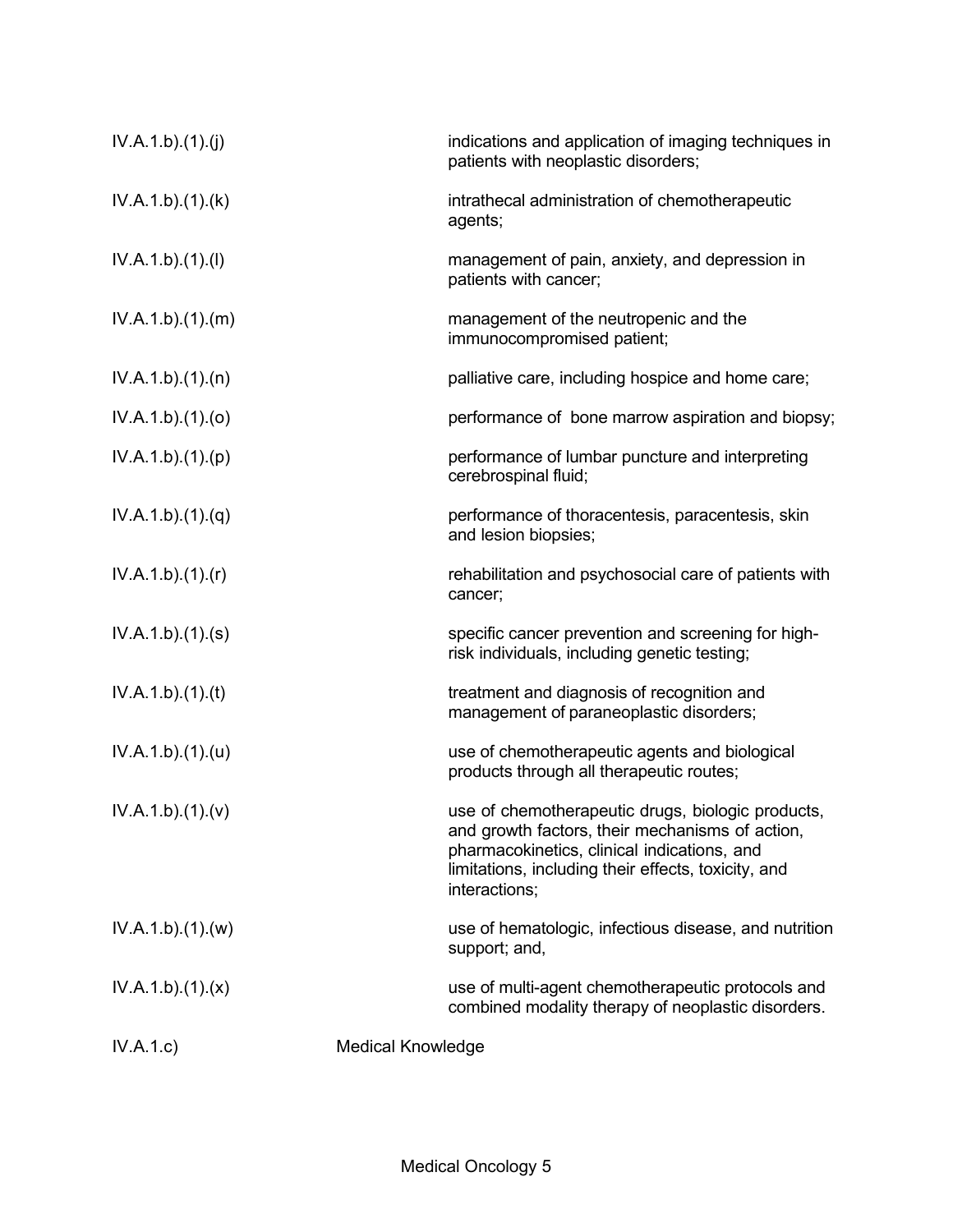| IV.A.1.b)(1)(j) | indications and application of imaging techniques in<br>patients with neoplastic disorders;                                                                                                                                 |
|-----------------|-----------------------------------------------------------------------------------------------------------------------------------------------------------------------------------------------------------------------------|
| IV.A.1.b)(1)(k) | intrathecal administration of chemotherapeutic<br>agents;                                                                                                                                                                   |
| IV.A.1.b)(1)(I) | management of pain, anxiety, and depression in<br>patients with cancer;                                                                                                                                                     |
| IV.A.1.b)(1)(m) | management of the neutropenic and the<br>immunocompromised patient;                                                                                                                                                         |
| IV.A.1.b)(1)(n) | palliative care, including hospice and home care;                                                                                                                                                                           |
| IV.A.1.b)(1)(o) | performance of bone marrow aspiration and biopsy;                                                                                                                                                                           |
| IV.A.1.b)(1)(p) | performance of lumbar puncture and interpreting<br>cerebrospinal fluid;                                                                                                                                                     |
| IV.A.1.b)(1)(q) | performance of thoracentesis, paracentesis, skin<br>and lesion biopsies;                                                                                                                                                    |
| IV.A.1.b)(1)(r) | rehabilitation and psychosocial care of patients with<br>cancer;                                                                                                                                                            |
| IV.A.1.b)(1)(s) | specific cancer prevention and screening for high-<br>risk individuals, including genetic testing;                                                                                                                          |
| IV.A.1.b)(1)(t) | treatment and diagnosis of recognition and<br>management of paraneoplastic disorders;                                                                                                                                       |
| IV.A.1.b)(1)(u) | use of chemotherapeutic agents and biological<br>products through all therapeutic routes;                                                                                                                                   |
| IV.A.1.b)(1)(v) | use of chemotherapeutic drugs, biologic products,<br>and growth factors, their mechanisms of action,<br>pharmacokinetics, clinical indications, and<br>limitations, including their effects, toxicity, and<br>interactions; |
| IV.A.1.b)(1)(w) | use of hematologic, infectious disease, and nutrition<br>support; and,                                                                                                                                                      |
| IV.A.1.b)(1)(x) | use of multi-agent chemotherapeutic protocols and<br>combined modality therapy of neoplastic disorders.                                                                                                                     |
| IV.A.1.c)       | <b>Medical Knowledge</b>                                                                                                                                                                                                    |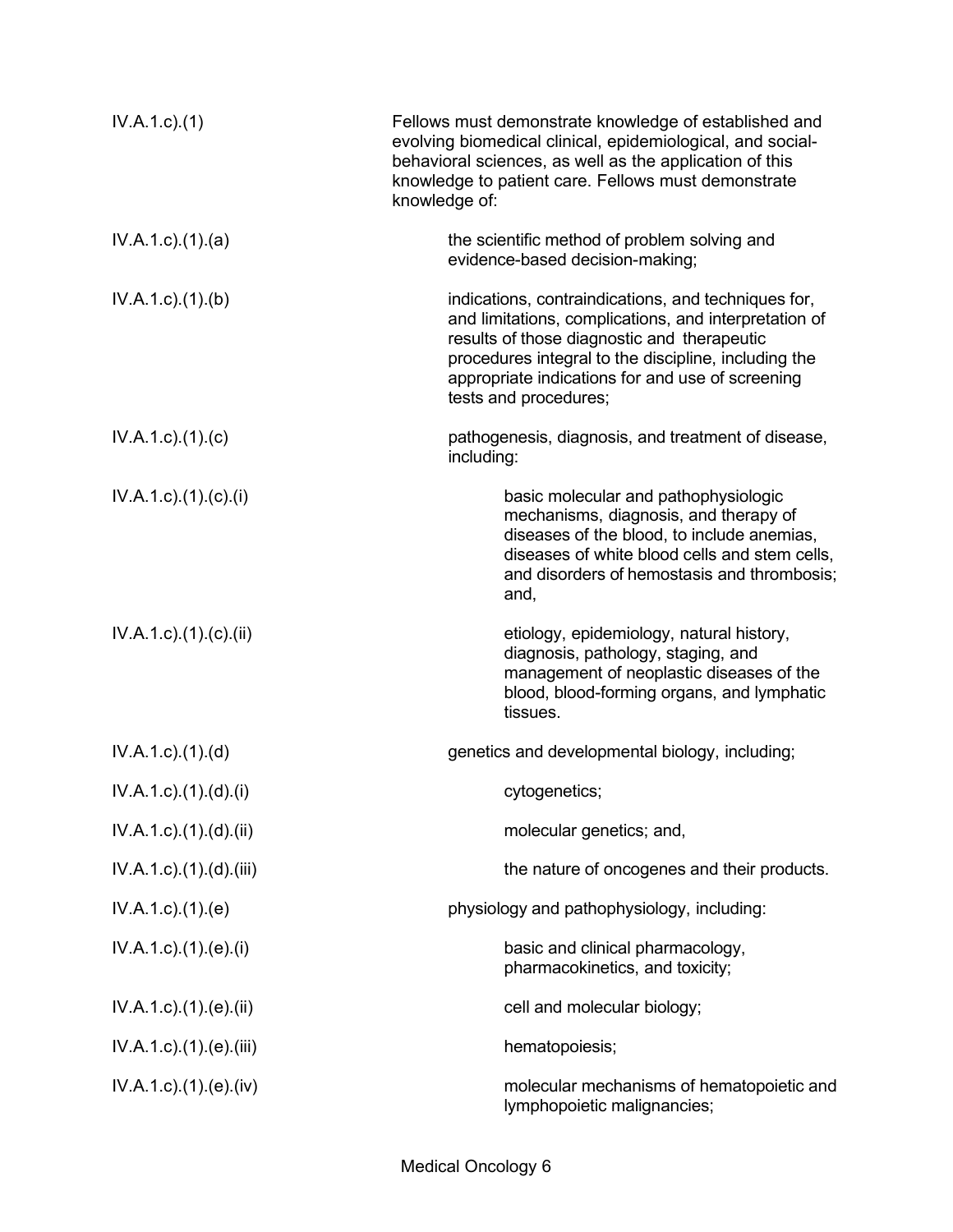| $IV.A.1.c.$ (1)                      | Fellows must demonstrate knowledge of established and<br>evolving biomedical clinical, epidemiological, and social-<br>behavioral sciences, as well as the application of this<br>knowledge to patient care. Fellows must demonstrate<br>knowledge of:                                           |
|--------------------------------------|--------------------------------------------------------------------------------------------------------------------------------------------------------------------------------------------------------------------------------------------------------------------------------------------------|
| $IV.A.1.c$ . $(1).$ $(a)$            | the scientific method of problem solving and<br>evidence-based decision-making;                                                                                                                                                                                                                  |
| IV.A.1.c)(1)(b)                      | indications, contraindications, and techniques for,<br>and limitations, complications, and interpretation of<br>results of those diagnostic and therapeutic<br>procedures integral to the discipline, including the<br>appropriate indications for and use of screening<br>tests and procedures; |
| $IV.A.1.c$ ). $(1).c)$               | pathogenesis, diagnosis, and treatment of disease,<br>including:                                                                                                                                                                                                                                 |
| $IV.A.1.c$ ). $(1).$ (c). $(i)$      | basic molecular and pathophysiologic<br>mechanisms, diagnosis, and therapy of<br>diseases of the blood, to include anemias,<br>diseases of white blood cells and stem cells,<br>and disorders of hemostasis and thrombosis;<br>and,                                                              |
| $IV.A.1.c$ ). $(1).$ (c). $(ii)$     | etiology, epidemiology, natural history,<br>diagnosis, pathology, staging, and<br>management of neoplastic diseases of the<br>blood, blood-forming organs, and lymphatic<br>tissues.                                                                                                             |
| $IV.A.1.c$ . $(1).$ $(d)$            | genetics and developmental biology, including;                                                                                                                                                                                                                                                   |
| $IV.A.1.c$ $.(1).(d).(i)$            | cytogenetics;                                                                                                                                                                                                                                                                                    |
| $IV.A.1.c$ . $(1).$ $(d).$ $(ii)$    | molecular genetics; and,                                                                                                                                                                                                                                                                         |
| $IV.A.1.c$ . $(1).$ $(d)$ . $(iii)$  | the nature of oncogenes and their products.                                                                                                                                                                                                                                                      |
| $IV.A.1.c$ . $(1).$ $(e)$            | physiology and pathophysiology, including:                                                                                                                                                                                                                                                       |
| $IV.A.1.c$ ). $(1).$ (e). $(i)$      | basic and clinical pharmacology,<br>pharmacokinetics, and toxicity;                                                                                                                                                                                                                              |
| $IV.A.1.c$ ). $(1).$ (e). $(ii)$     | cell and molecular biology;                                                                                                                                                                                                                                                                      |
| $IV.A.1.c$ . $(1).$ $(e)$ . $(iii)$  | hematopoiesis;                                                                                                                                                                                                                                                                                   |
| $IV.A.1.c$ ). $(1)$ . $(e)$ . $(iv)$ | molecular mechanisms of hematopoietic and<br>lymphopoietic malignancies;                                                                                                                                                                                                                         |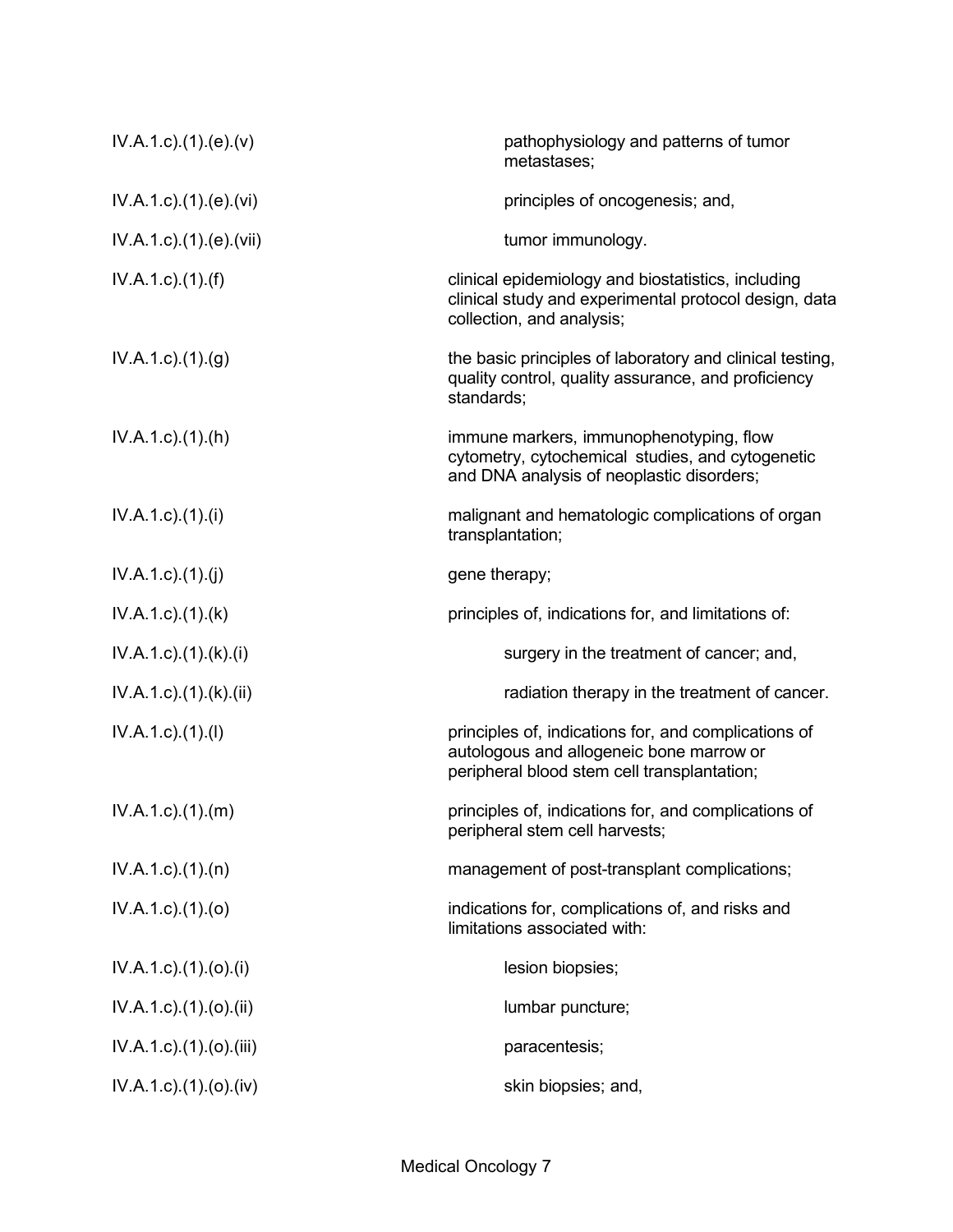| $IV.A.1.c$ . $(1).(e).(v)$       | pathophysiology and patterns of tumor<br>metastases;                                                                                            |
|----------------------------------|-------------------------------------------------------------------------------------------------------------------------------------------------|
| $IV.A.1.c$ . $(1).$ (e). $(vi)$  | principles of oncogenesis; and,                                                                                                                 |
| IV.A.1.c).(1).(e).(vii)          | tumor immunology.                                                                                                                               |
| IV.A.1.c)(1.(f))                 | clinical epidemiology and biostatistics, including<br>clinical study and experimental protocol design, data<br>collection, and analysis;        |
| IV.A.1.c.1(1). <sub>(g)</sub>    | the basic principles of laboratory and clinical testing,<br>quality control, quality assurance, and proficiency<br>standards;                   |
| $IV.A.1.c$ . $(1).(h)$           | immune markers, immunophenotyping, flow<br>cytometry, cytochemical studies, and cytogenetic<br>and DNA analysis of neoplastic disorders;        |
| IV.A.1.c)(1).(i)                 | malignant and hematologic complications of organ<br>transplantation;                                                                            |
| IV.A.1.c)(1)(i)                  | gene therapy;                                                                                                                                   |
| $IV.A.1.c$ . $(1).$ (k)          | principles of, indications for, and limitations of:                                                                                             |
| IV.A.1.c)(1)(k)(i)               | surgery in the treatment of cancer; and,                                                                                                        |
| IV.A.1.c).(1).(k).(ii)           | radiation therapy in the treatment of cancer.                                                                                                   |
| $IV.A.1.c$ ). $(1).$             | principles of, indications for, and complications of<br>autologous and allogeneic bone marrow or<br>peripheral blood stem cell transplantation; |
| $IV.A.1.c$ . $(1).$ (m)          | principles of, indications for, and complications of<br>peripheral stem cell harvests;                                                          |
| $IV.A.1.c$ . $(1).$ $(n)$        | management of post-transplant complications;                                                                                                    |
| $IV.A.1.c$ . $(1).$ $(o)$        | indications for, complications of, and risks and<br>limitations associated with:                                                                |
| $IV.A.1.c$ ). $(1).(o).(i)$      | lesion biopsies;                                                                                                                                |
| $IV.A.1.c$ ). $(1).(o).(ii)$     | lumbar puncture;                                                                                                                                |
| $IV.A.1.c$ . $(1).$ (o). $(iii)$ | paracentesis;                                                                                                                                   |
| $IV.A.1.c$ ). $(1).(o).(iv)$     | skin biopsies; and,                                                                                                                             |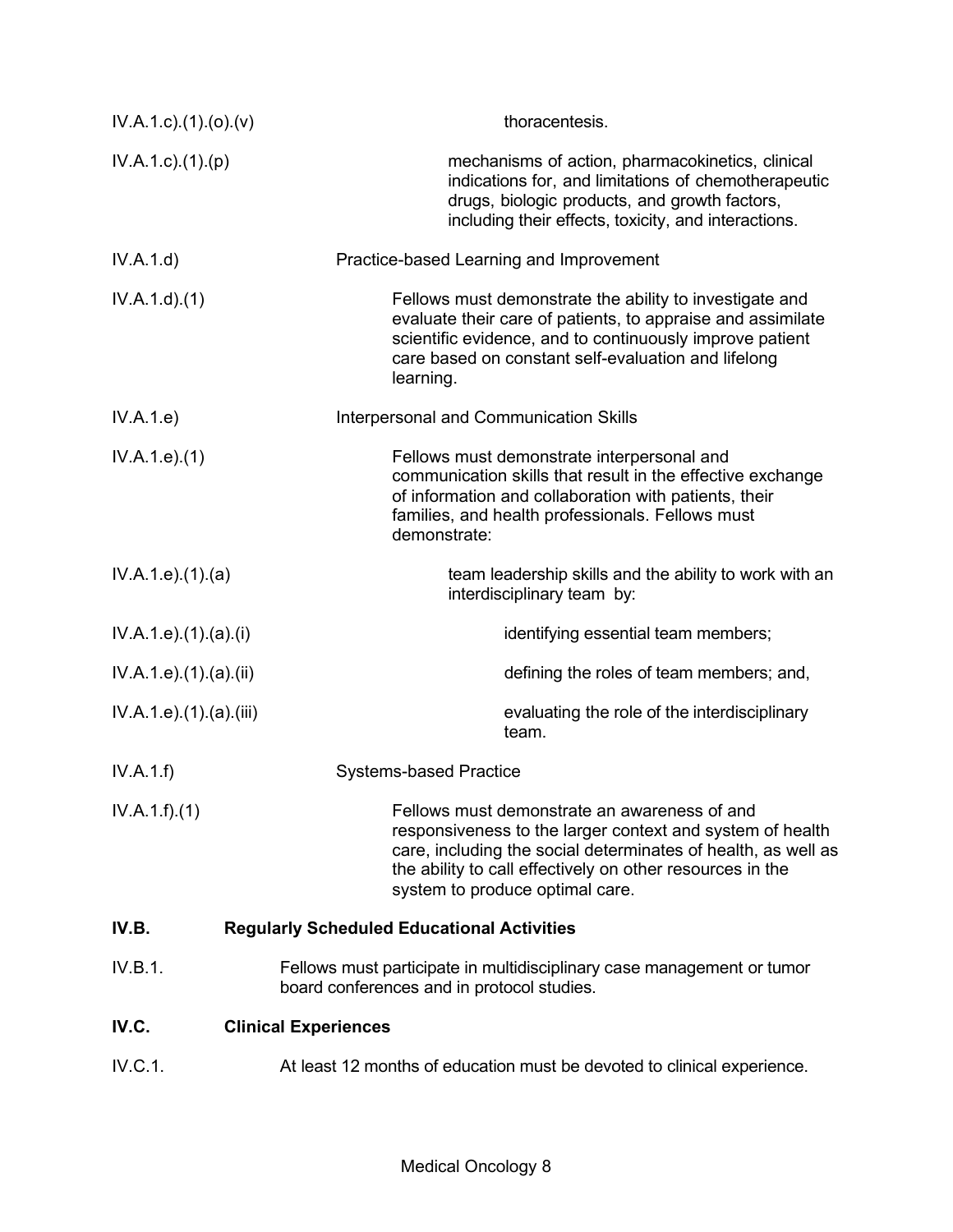| $IV.A.1.c$ ). $(1).(o)$ . $(v)$ | thoracentesis.                                                                                                                                                                                                                                                             |  |
|---------------------------------|----------------------------------------------------------------------------------------------------------------------------------------------------------------------------------------------------------------------------------------------------------------------------|--|
| $IV.A.1.c$ . $(1).(p)$          | mechanisms of action, pharmacokinetics, clinical<br>indications for, and limitations of chemotherapeutic<br>drugs, biologic products, and growth factors,<br>including their effects, toxicity, and interactions.                                                          |  |
| IV.A.1.d)                       | Practice-based Learning and Improvement                                                                                                                                                                                                                                    |  |
| IV.A.1.d)(1)                    | Fellows must demonstrate the ability to investigate and<br>evaluate their care of patients, to appraise and assimilate<br>scientific evidence, and to continuously improve patient<br>care based on constant self-evaluation and lifelong<br>learning.                     |  |
| IV.A.1.e)                       | Interpersonal and Communication Skills                                                                                                                                                                                                                                     |  |
| IV.A.1.e. (1)                   | Fellows must demonstrate interpersonal and<br>communication skills that result in the effective exchange<br>of information and collaboration with patients, their<br>families, and health professionals. Fellows must<br>demonstrate:                                      |  |
| IV.A.1.e. (1). (a)              | team leadership skills and the ability to work with an<br>interdisciplinary team by:                                                                                                                                                                                       |  |
| IV.A.1.e. (1).(a).(i)           | identifying essential team members;                                                                                                                                                                                                                                        |  |
| IV.A.1.e. (1). (a). (ii)        | defining the roles of team members; and,                                                                                                                                                                                                                                   |  |
| IV.A.1.e) (1) (a) (iii)         | evaluating the role of the interdisciplinary<br>team.                                                                                                                                                                                                                      |  |
| IV.A.1.f)                       | <b>Systems-based Practice</b>                                                                                                                                                                                                                                              |  |
| IV.A.1.f)(1)                    | Fellows must demonstrate an awareness of and<br>responsiveness to the larger context and system of health<br>care, including the social determinates of health, as well as<br>the ability to call effectively on other resources in the<br>system to produce optimal care. |  |
| IV.B.                           | <b>Regularly Scheduled Educational Activities</b>                                                                                                                                                                                                                          |  |
| IV.B.1.                         | Fellows must participate in multidisciplinary case management or tumor<br>board conferences and in protocol studies.                                                                                                                                                       |  |
| IV.C.                           | <b>Clinical Experiences</b>                                                                                                                                                                                                                                                |  |
| IV.C.1.                         | At least 12 months of education must be devoted to clinical experience.                                                                                                                                                                                                    |  |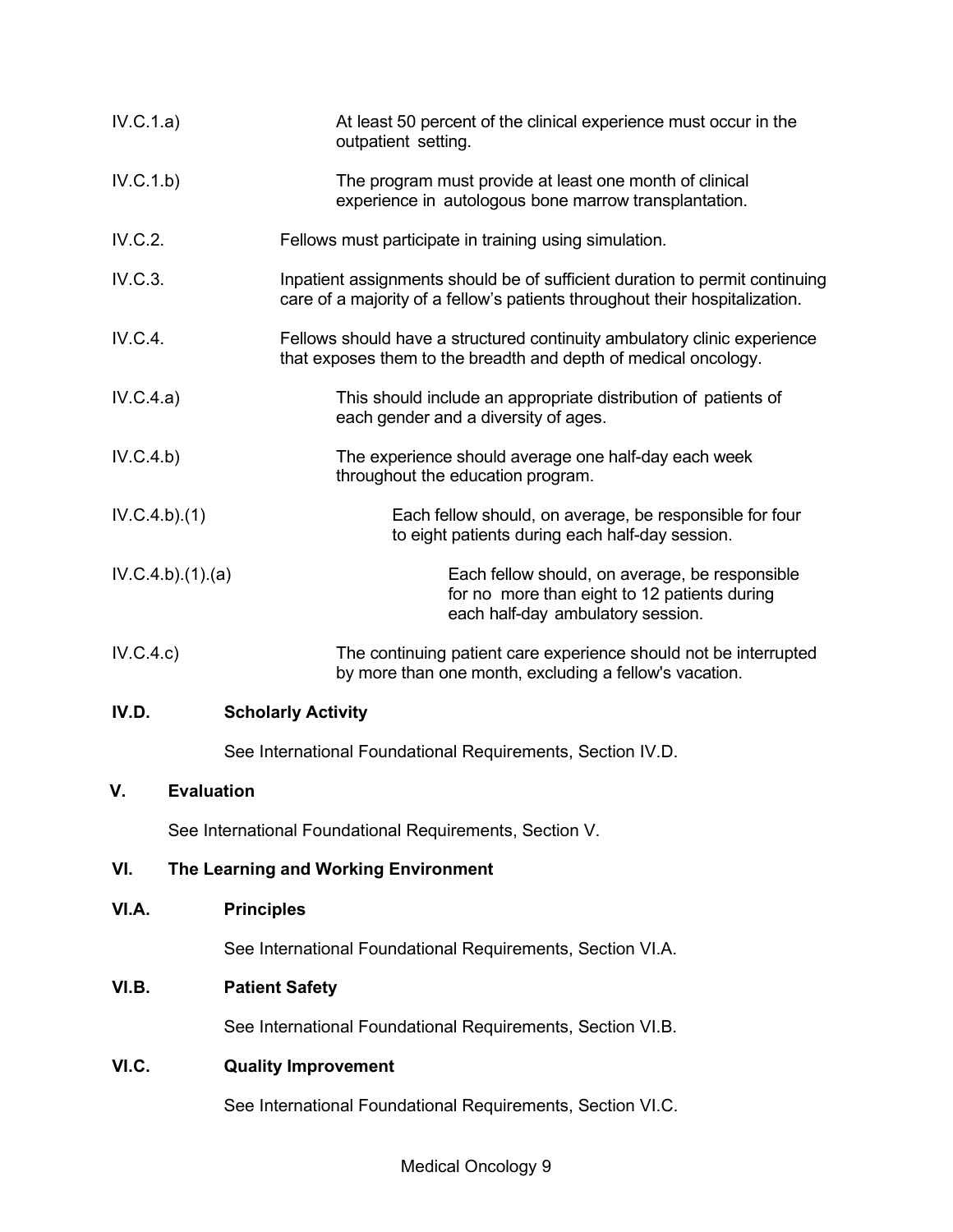| IV.C.1.a)       |                                      | At least 50 percent of the clinical experience must occur in the<br>outpatient setting.                                                                    |
|-----------------|--------------------------------------|------------------------------------------------------------------------------------------------------------------------------------------------------------|
| IV.C.1.b)       |                                      | The program must provide at least one month of clinical<br>experience in autologous bone marrow transplantation.                                           |
| IV.C.2.         |                                      | Fellows must participate in training using simulation.                                                                                                     |
| IV.C.3.         |                                      | Inpatient assignments should be of sufficient duration to permit continuing<br>care of a majority of a fellow's patients throughout their hospitalization. |
| IV.C.4.         |                                      | Fellows should have a structured continuity ambulatory clinic experience<br>that exposes them to the breadth and depth of medical oncology.                |
| IV.C.4.a)       |                                      | This should include an appropriate distribution of patients of<br>each gender and a diversity of ages.                                                     |
| IV.C.4.b)       |                                      | The experience should average one half-day each week<br>throughout the education program.                                                                  |
| IV.C.4.b)(1)    |                                      | Each fellow should, on average, be responsible for four<br>to eight patients during each half-day session.                                                 |
| IV.C.4.b)(1)(a) |                                      | Each fellow should, on average, be responsible<br>for no more than eight to 12 patients during<br>each half-day ambulatory session.                        |
| IV.C.4.c)       |                                      | The continuing patient care experience should not be interrupted<br>by more than one month, excluding a fellow's vacation.                                 |
| IV.D.           | <b>Scholarly Activity</b>            |                                                                                                                                                            |
|                 |                                      | See International Foundational Requirements, Section IV.D.                                                                                                 |
| V.              | <b>Evaluation</b>                    |                                                                                                                                                            |
|                 |                                      | See International Foundational Requirements, Section V.                                                                                                    |
| VI.             | The Learning and Working Environment |                                                                                                                                                            |
| VI.A.           | <b>Principles</b>                    |                                                                                                                                                            |
|                 |                                      | See International Foundational Requirements, Section VI.A.                                                                                                 |
| VI.B.           | <b>Patient Safety</b>                |                                                                                                                                                            |
|                 |                                      | See International Foundational Requirements, Section VI.B.                                                                                                 |
| VI.C.           | <b>Quality Improvement</b>           |                                                                                                                                                            |
|                 |                                      | See International Foundational Requirements, Section VI.C.                                                                                                 |